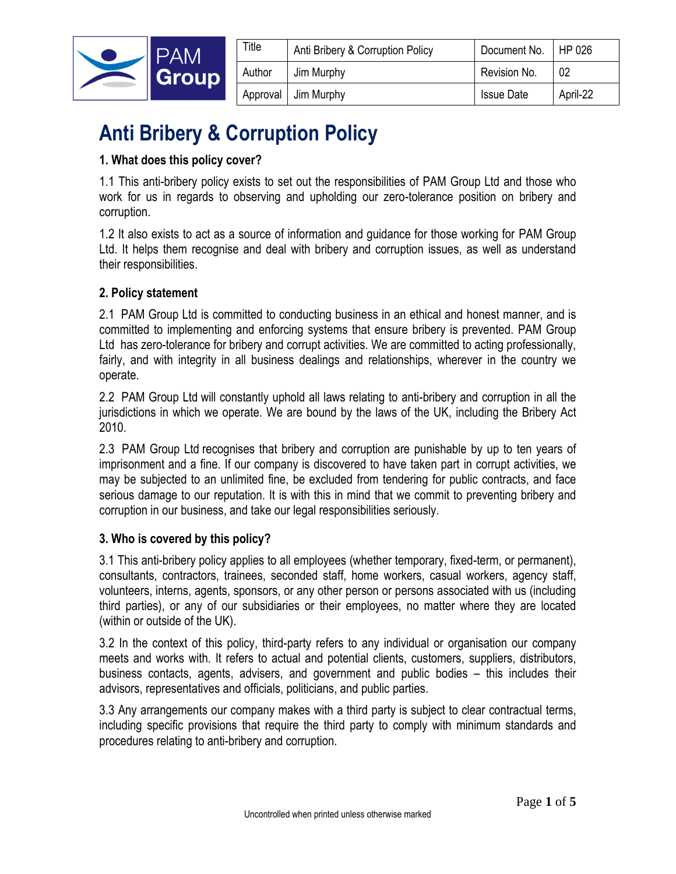

| Title  | Anti Bribery & Corruption Policy | Document No.   HP 026 |          |
|--------|----------------------------------|-----------------------|----------|
| Author | Jim Murphy                       | Revision No.          | 02       |
|        | Approval   Jim Murphy            | <b>Issue Date</b>     | April-22 |

# **Anti Bribery & Corruption Policy**

## **1. What does this policy cover?**

1.1 This anti-bribery policy exists to set out the responsibilities of PAM Group Ltd and those who work for us in regards to observing and upholding our zero-tolerance position on bribery and corruption.

1.2 It also exists to act as a source of information and guidance for those working for PAM Group Ltd. It helps them recognise and deal with bribery and corruption issues, as well as understand their responsibilities.

## **2. Policy statement**

2.1 PAM Group Ltd is committed to conducting business in an ethical and honest manner, and is committed to implementing and enforcing systems that ensure bribery is prevented. PAM Group Ltd has zero-tolerance for bribery and corrupt activities. We are committed to acting professionally, fairly, and with integrity in all business dealings and relationships, wherever in the country we operate.

2.2 PAM Group Ltd will constantly uphold all laws relating to anti-bribery and corruption in all the jurisdictions in which we operate. We are bound by the laws of the UK, including the Bribery Act 2010.

2.3 PAM Group Ltd recognises that bribery and corruption are punishable by up to ten years of imprisonment and a fine. If our company is discovered to have taken part in corrupt activities, we may be subjected to an unlimited fine, be excluded from tendering for public contracts, and face serious damage to our reputation. It is with this in mind that we commit to preventing bribery and corruption in our business, and take our legal responsibilities seriously.

## **3. Who is covered by this policy?**

3.1 This anti-bribery policy applies to all employees (whether temporary, fixed-term, or permanent), consultants, contractors, trainees, seconded staff, home workers, casual workers, agency staff, volunteers, interns, agents, sponsors, or any other person or persons associated with us (including third parties), or any of our subsidiaries or their employees, no matter where they are located (within or outside of the UK).

3.2 In the context of this policy, third-party refers to any individual or organisation our company meets and works with. It refers to actual and potential clients, customers, suppliers, distributors, business contacts, agents, advisers, and government and public bodies – this includes their advisors, representatives and officials, politicians, and public parties.

3.3 Any arrangements our company makes with a third party is subject to clear contractual terms, including specific provisions that require the third party to comply with minimum standards and procedures relating to anti-bribery and corruption.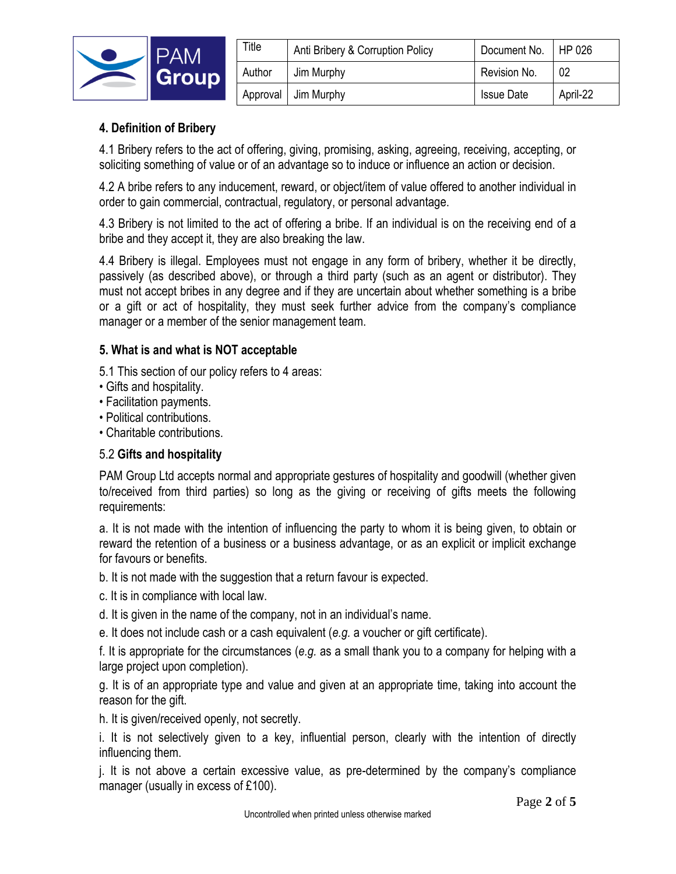

| Title    | Anti Bribery & Corruption Policy | Document No.      | HP 026   |
|----------|----------------------------------|-------------------|----------|
| Author   | Jim Murphy                       | Revision No.      | 02       |
| Approval | Jim Murphy                       | <b>Issue Date</b> | April-22 |

## **4. Definition of Bribery**

4.1 Bribery refers to the act of offering, giving, promising, asking, agreeing, receiving, accepting, or soliciting something of value or of an advantage so to induce or influence an action or decision.

4.2 A bribe refers to any inducement, reward, or object/item of value offered to another individual in order to gain commercial, contractual, regulatory, or personal advantage.

4.3 Bribery is not limited to the act of offering a bribe. If an individual is on the receiving end of a bribe and they accept it, they are also breaking the law.

4.4 Bribery is illegal. Employees must not engage in any form of bribery, whether it be directly, passively (as described above), or through a third party (such as an agent or distributor). They must not accept bribes in any degree and if they are uncertain about whether something is a bribe or a gift or act of hospitality, they must seek further advice from the company's compliance manager or a member of the senior management team.

## **5. What is and what is NOT acceptable**

- 5.1 This section of our policy refers to 4 areas:
- Gifts and hospitality.
- Facilitation payments.
- Political contributions.
- Charitable contributions.

## 5.2 **Gifts and hospitality**

PAM Group Ltd accepts normal and appropriate gestures of hospitality and goodwill (whether given to/received from third parties) so long as the giving or receiving of gifts meets the following requirements:

a. It is not made with the intention of influencing the party to whom it is being given, to obtain or reward the retention of a business or a business advantage, or as an explicit or implicit exchange for favours or benefits.

b. It is not made with the suggestion that a return favour is expected.

c. It is in compliance with local law.

d. It is given in the name of the company, not in an individual's name.

e. It does not include cash or a cash equivalent (*e.g.* a voucher or gift certificate).

f. It is appropriate for the circumstances (*e.g.* as a small thank you to a company for helping with a large project upon completion).

g. It is of an appropriate type and value and given at an appropriate time, taking into account the reason for the gift.

h. It is given/received openly, not secretly.

i. It is not selectively given to a key, influential person, clearly with the intention of directly influencing them.

j. It is not above a certain excessive value, as pre-determined by the company's compliance manager (usually in excess of £100).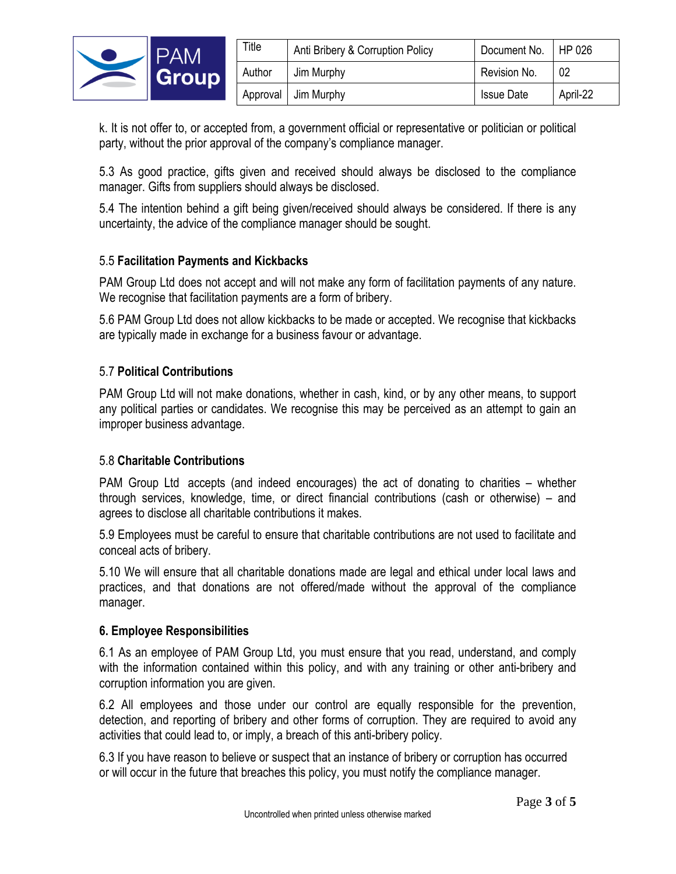

| Title  | Anti Bribery & Corruption Policy | Document No.      | HP 026   |
|--------|----------------------------------|-------------------|----------|
| Author | Jim Murphy                       | Revision No.      | 02       |
|        | Approval Jim Murphy              | <b>Issue Date</b> | April-22 |

k. It is not offer to, or accepted from, a government official or representative or politician or political party, without the prior approval of the company's compliance manager.

5.3 As good practice, gifts given and received should always be disclosed to the compliance manager. Gifts from suppliers should always be disclosed.

5.4 The intention behind a gift being given/received should always be considered. If there is any uncertainty, the advice of the compliance manager should be sought.

## 5.5 **Facilitation Payments and Kickbacks**

PAM Group Ltd does not accept and will not make any form of facilitation payments of any nature. We recognise that facilitation payments are a form of bribery.

5.6[PAM Group Ltd does not allow kickbacks to be made or accepted. We recognise that kickbacks are typically made in exchange for a business favour or advantage.

#### 5.7 **Political Contributions**

PAM Group Ltd will not make donations, whether in cash, kind, or by any other means, to support any political parties or candidates. We recognise this may be perceived as an attempt to gain an improper business advantage.

#### 5.8 **Charitable Contributions**

PAM Group Ltd] accepts (and indeed encourages) the act of donating to charities – whether through services, knowledge, time, or direct financial contributions (cash or otherwise) – and agrees to disclose all charitable contributions it makes.

5.9 Employees must be careful to ensure that charitable contributions are not used to facilitate and conceal acts of bribery.

5.10 We will ensure that all charitable donations made are legal and ethical under local laws and practices, and that donations are not offered/made without the approval of the compliance manager.

#### **6. Employee Responsibilities**

6.1 As an employee of PAM Group Ltd, you must ensure that you read, understand, and comply with the information contained within this policy, and with any training or other anti-bribery and corruption information you are given.

6.2 All employees and those under our control are equally responsible for the prevention, detection, and reporting of bribery and other forms of corruption. They are required to avoid any activities that could lead to, or imply, a breach of this anti-bribery policy.

6.3 If you have reason to believe or suspect that an instance of bribery or corruption has occurred or will occur in the future that breaches this policy, you must notify the compliance manager.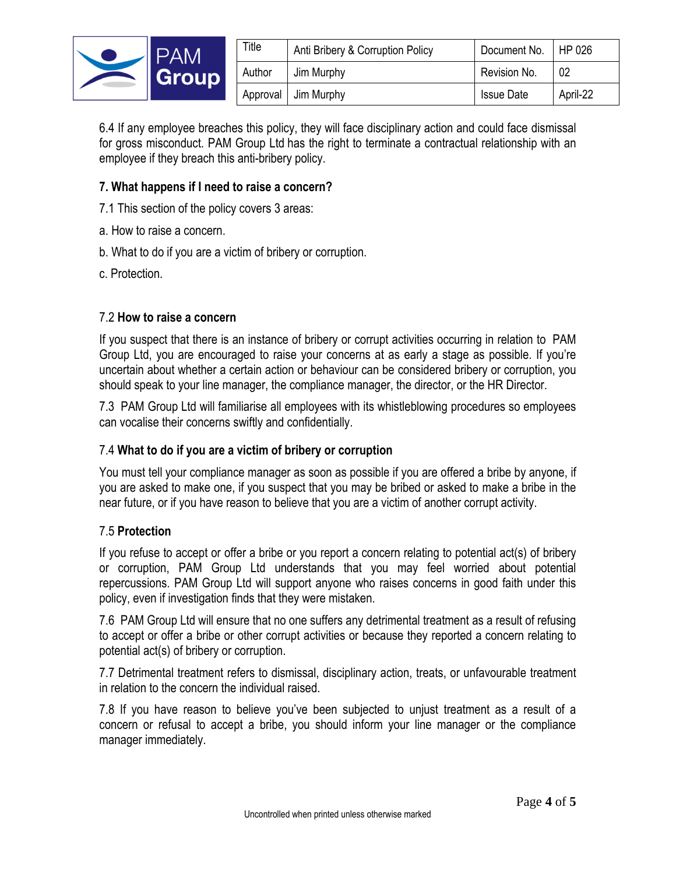

| ™itle  | Anti Bribery & Corruption Policy | Document No.   HP 026 |          |
|--------|----------------------------------|-----------------------|----------|
| Author | Jim Murphy                       | Revision No.          | -02      |
|        | Approval Jim Murphy              | <b>Issue Date</b>     | April-22 |

6.4 If any employee breaches this policy, they will face disciplinary action and could face dismissal for gross misconduct. PAM Group Ltd has the right to terminate a contractual relationship with an employee if they breach this anti-bribery policy.

## **7. What happens if I need to raise a concern?**

7.1 This section of the policy covers 3 areas:

- a. How to raise a concern.
- b. What to do if you are a victim of bribery or corruption.
- c. Protection.

#### 7.2 **How to raise a concern**

If you suspect that there is an instance of bribery or corrupt activities occurring in relation to [PAM Group Ltd, you are encouraged to raise your concerns at as early a stage as possible. If you're uncertain about whether a certain action or behaviour can be considered bribery or corruption, you should speak to your line manager, the compliance manager, the director, or the HR Director.

7.3 PAM Group Ltd will familiarise all employees with its whistleblowing procedures so employees can vocalise their concerns swiftly and confidentially.

## 7.4 **What to do if you are a victim of bribery or corruption**

You must tell your compliance manager as soon as possible if you are offered a bribe by anyone, if you are asked to make one, if you suspect that you may be bribed or asked to make a bribe in the near future, or if you have reason to believe that you are a victim of another corrupt activity.

#### 7.5 **Protection**

If you refuse to accept or offer a bribe or you report a concern relating to potential act(s) of bribery or corruption, PAM Group Ltd understands that you may feel worried about potential repercussions. PAM Group Ltd will support anyone who raises concerns in good faith under this policy, even if investigation finds that they were mistaken.

7.6 [PAM Group Ltd will ensure that no one suffers any detrimental treatment as a result of refusing to accept or offer a bribe or other corrupt activities or because they reported a concern relating to potential act(s) of bribery or corruption.

7.7 Detrimental treatment refers to dismissal, disciplinary action, treats, or unfavourable treatment in relation to the concern the individual raised.

7.8 If you have reason to believe you've been subjected to unjust treatment as a result of a concern or refusal to accept a bribe, you should inform your line manager or the compliance manager immediately.